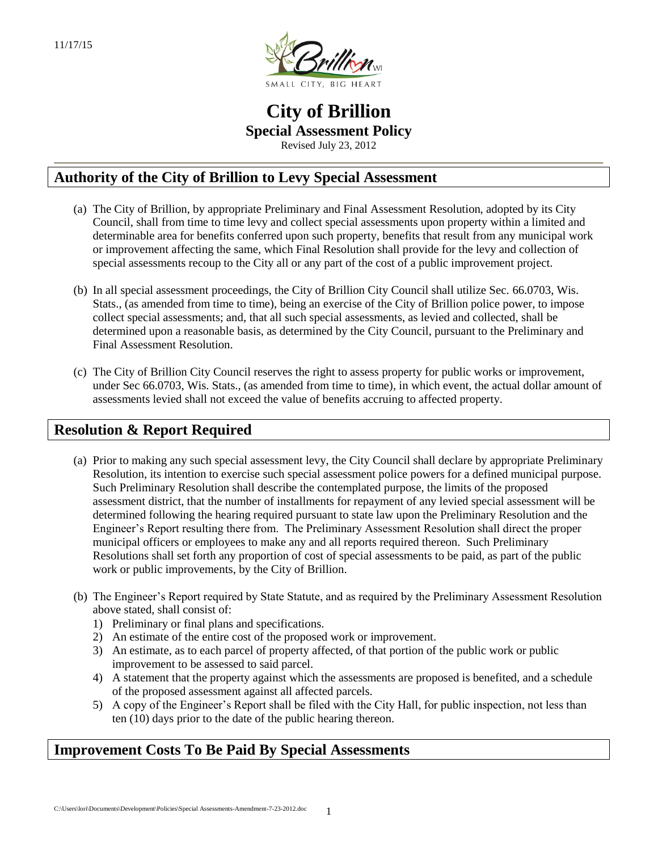

# **City of Brillion Special Assessment Policy** Revised July 23, 2012

**Authority of the City of Brillion to Levy Special Assessment**

- (a) The City of Brillion, by appropriate Preliminary and Final Assessment Resolution, adopted by its City Council, shall from time to time levy and collect special assessments upon property within a limited and determinable area for benefits conferred upon such property, benefits that result from any municipal work or improvement affecting the same, which Final Resolution shall provide for the levy and collection of special assessments recoup to the City all or any part of the cost of a public improvement project.
- (b) In all special assessment proceedings, the City of Brillion City Council shall utilize Sec. 66.0703, Wis. Stats., (as amended from time to time), being an exercise of the City of Brillion police power, to impose collect special assessments; and, that all such special assessments, as levied and collected, shall be determined upon a reasonable basis, as determined by the City Council, pursuant to the Preliminary and Final Assessment Resolution.
- (c) The City of Brillion City Council reserves the right to assess property for public works or improvement, under Sec 66.0703, Wis. Stats., (as amended from time to time), in which event, the actual dollar amount of assessments levied shall not exceed the value of benefits accruing to affected property.

# **Resolution & Report Required**

- (a) Prior to making any such special assessment levy, the City Council shall declare by appropriate Preliminary Resolution, its intention to exercise such special assessment police powers for a defined municipal purpose. Such Preliminary Resolution shall describe the contemplated purpose, the limits of the proposed assessment district, that the number of installments for repayment of any levied special assessment will be determined following the hearing required pursuant to state law upon the Preliminary Resolution and the Engineer's Report resulting there from. The Preliminary Assessment Resolution shall direct the proper municipal officers or employees to make any and all reports required thereon. Such Preliminary Resolutions shall set forth any proportion of cost of special assessments to be paid, as part of the public work or public improvements, by the City of Brillion.
- (b) The Engineer's Report required by State Statute, and as required by the Preliminary Assessment Resolution above stated, shall consist of:
	- 1) Preliminary or final plans and specifications.
	- 2) An estimate of the entire cost of the proposed work or improvement.
	- 3) An estimate, as to each parcel of property affected, of that portion of the public work or public improvement to be assessed to said parcel.
	- 4) A statement that the property against which the assessments are proposed is benefited, and a schedule of the proposed assessment against all affected parcels.
	- 5) A copy of the Engineer's Report shall be filed with the City Hall, for public inspection, not less than ten (10) days prior to the date of the public hearing thereon.

# **Improvement Costs To Be Paid By Special Assessments**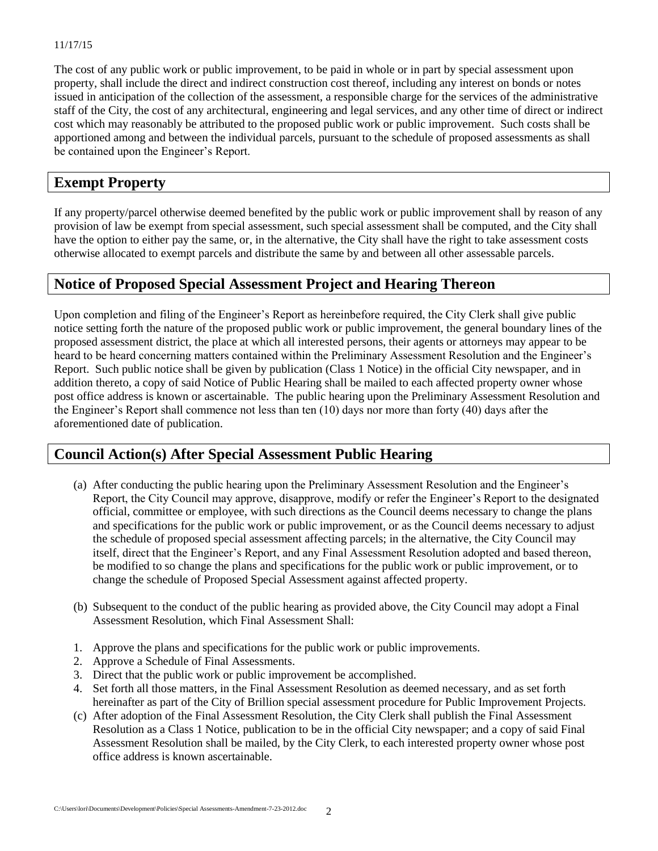The cost of any public work or public improvement, to be paid in whole or in part by special assessment upon property, shall include the direct and indirect construction cost thereof, including any interest on bonds or notes issued in anticipation of the collection of the assessment, a responsible charge for the services of the administrative staff of the City, the cost of any architectural, engineering and legal services, and any other time of direct or indirect cost which may reasonably be attributed to the proposed public work or public improvement. Such costs shall be apportioned among and between the individual parcels, pursuant to the schedule of proposed assessments as shall be contained upon the Engineer's Report.

# **Exempt Property**

If any property/parcel otherwise deemed benefited by the public work or public improvement shall by reason of any provision of law be exempt from special assessment, such special assessment shall be computed, and the City shall have the option to either pay the same, or, in the alternative, the City shall have the right to take assessment costs otherwise allocated to exempt parcels and distribute the same by and between all other assessable parcels.

# **Notice of Proposed Special Assessment Project and Hearing Thereon**

Upon completion and filing of the Engineer's Report as hereinbefore required, the City Clerk shall give public notice setting forth the nature of the proposed public work or public improvement, the general boundary lines of the proposed assessment district, the place at which all interested persons, their agents or attorneys may appear to be heard to be heard concerning matters contained within the Preliminary Assessment Resolution and the Engineer's Report. Such public notice shall be given by publication (Class 1 Notice) in the official City newspaper, and in addition thereto, a copy of said Notice of Public Hearing shall be mailed to each affected property owner whose post office address is known or ascertainable. The public hearing upon the Preliminary Assessment Resolution and the Engineer's Report shall commence not less than ten (10) days nor more than forty (40) days after the aforementioned date of publication.

# **Council Action(s) After Special Assessment Public Hearing**

- (a) After conducting the public hearing upon the Preliminary Assessment Resolution and the Engineer's Report, the City Council may approve, disapprove, modify or refer the Engineer's Report to the designated official, committee or employee, with such directions as the Council deems necessary to change the plans and specifications for the public work or public improvement, or as the Council deems necessary to adjust the schedule of proposed special assessment affecting parcels; in the alternative, the City Council may itself, direct that the Engineer's Report, and any Final Assessment Resolution adopted and based thereon, be modified to so change the plans and specifications for the public work or public improvement, or to change the schedule of Proposed Special Assessment against affected property.
- (b) Subsequent to the conduct of the public hearing as provided above, the City Council may adopt a Final Assessment Resolution, which Final Assessment Shall:
- 1. Approve the plans and specifications for the public work or public improvements.
- 2. Approve a Schedule of Final Assessments.
- 3. Direct that the public work or public improvement be accomplished.
- 4. Set forth all those matters, in the Final Assessment Resolution as deemed necessary, and as set forth hereinafter as part of the City of Brillion special assessment procedure for Public Improvement Projects.
- (c) After adoption of the Final Assessment Resolution, the City Clerk shall publish the Final Assessment Resolution as a Class 1 Notice, publication to be in the official City newspaper; and a copy of said Final Assessment Resolution shall be mailed, by the City Clerk, to each interested property owner whose post office address is known ascertainable.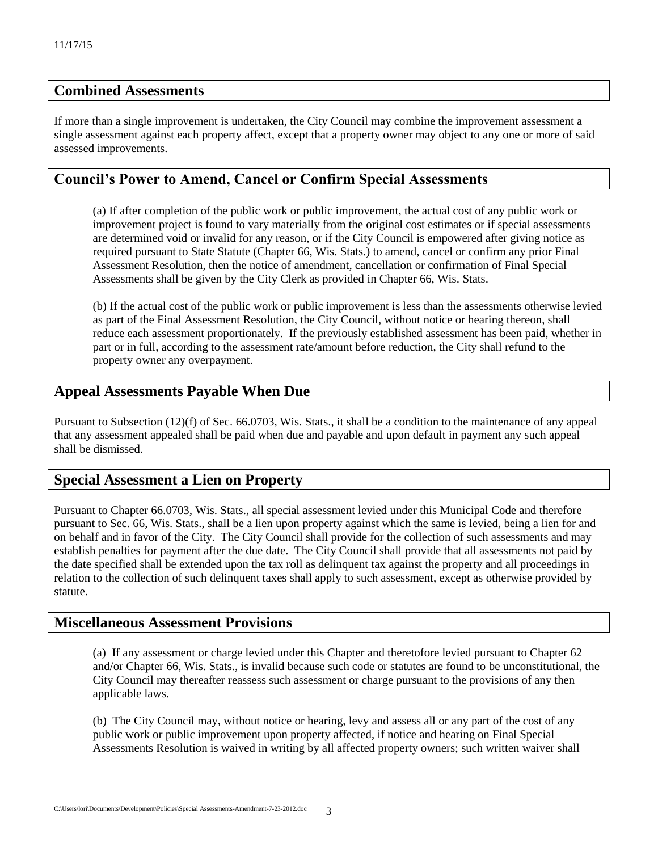## **Combined Assessments**

If more than a single improvement is undertaken, the City Council may combine the improvement assessment a single assessment against each property affect, except that a property owner may object to any one or more of said assessed improvements.

## **Council's Power to Amend, Cancel or Confirm Special Assessments**

(a) If after completion of the public work or public improvement, the actual cost of any public work or improvement project is found to vary materially from the original cost estimates or if special assessments are determined void or invalid for any reason, or if the City Council is empowered after giving notice as required pursuant to State Statute (Chapter 66, Wis. Stats.) to amend, cancel or confirm any prior Final Assessment Resolution, then the notice of amendment, cancellation or confirmation of Final Special Assessments shall be given by the City Clerk as provided in Chapter 66, Wis. Stats.

(b) If the actual cost of the public work or public improvement is less than the assessments otherwise levied as part of the Final Assessment Resolution, the City Council, without notice or hearing thereon, shall reduce each assessment proportionately. If the previously established assessment has been paid, whether in part or in full, according to the assessment rate/amount before reduction, the City shall refund to the property owner any overpayment.

## **Appeal Assessments Payable When Due**

Pursuant to Subsection (12)(f) of Sec. 66.0703, Wis. Stats., it shall be a condition to the maintenance of any appeal that any assessment appealed shall be paid when due and payable and upon default in payment any such appeal shall be dismissed.

# **Special Assessment a Lien on Property**

Pursuant to Chapter 66.0703, Wis. Stats., all special assessment levied under this Municipal Code and therefore pursuant to Sec. 66, Wis. Stats., shall be a lien upon property against which the same is levied, being a lien for and on behalf and in favor of the City. The City Council shall provide for the collection of such assessments and may establish penalties for payment after the due date. The City Council shall provide that all assessments not paid by the date specified shall be extended upon the tax roll as delinquent tax against the property and all proceedings in relation to the collection of such delinquent taxes shall apply to such assessment, except as otherwise provided by statute.

## **Miscellaneous Assessment Provisions**

(a) If any assessment or charge levied under this Chapter and theretofore levied pursuant to Chapter 62 and/or Chapter 66, Wis. Stats., is invalid because such code or statutes are found to be unconstitutional, the City Council may thereafter reassess such assessment or charge pursuant to the provisions of any then applicable laws.

(b) The City Council may, without notice or hearing, levy and assess all or any part of the cost of any public work or public improvement upon property affected, if notice and hearing on Final Special Assessments Resolution is waived in writing by all affected property owners; such written waiver shall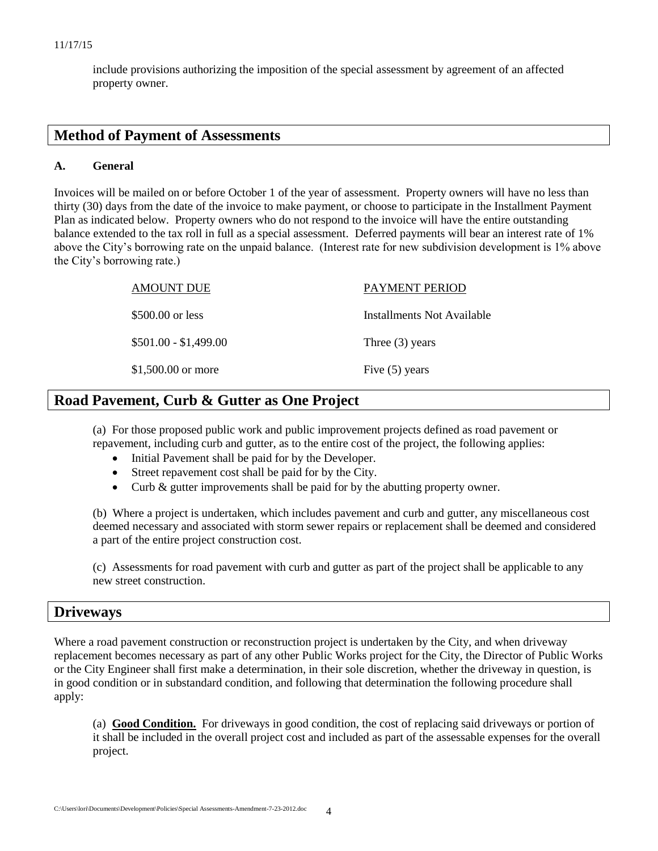include provisions authorizing the imposition of the special assessment by agreement of an affected property owner.

## **Method of Payment of Assessments**

## **A. General**

Invoices will be mailed on or before October 1 of the year of assessment. Property owners will have no less than thirty (30) days from the date of the invoice to make payment, or choose to participate in the Installment Payment Plan as indicated below. Property owners who do not respond to the invoice will have the entire outstanding balance extended to the tax roll in full as a special assessment. Deferred payments will bear an interest rate of 1% above the City's borrowing rate on the unpaid balance. (Interest rate for new subdivision development is 1% above the City's borrowing rate.)

| AMOUNT DUE            | <b>PAYMENT PERIOD</b>      |
|-----------------------|----------------------------|
| \$500.00 or less      | Installments Not Available |
| $$501.00 - $1,499.00$ | Three $(3)$ years          |
| \$1,500.00 or more    | Five $(5)$ years           |

# **Road Pavement, Curb & Gutter as One Project**

(a) For those proposed public work and public improvement projects defined as road pavement or repavement, including curb and gutter, as to the entire cost of the project, the following applies:

- Initial Pavement shall be paid for by the Developer.
- Street repavement cost shall be paid for by the City.
- Curb & gutter improvements shall be paid for by the abutting property owner.

(b) Where a project is undertaken, which includes pavement and curb and gutter, any miscellaneous cost deemed necessary and associated with storm sewer repairs or replacement shall be deemed and considered a part of the entire project construction cost.

(c) Assessments for road pavement with curb and gutter as part of the project shall be applicable to any new street construction.

## **Driveways**

Where a road pavement construction or reconstruction project is undertaken by the City, and when driveway replacement becomes necessary as part of any other Public Works project for the City, the Director of Public Works or the City Engineer shall first make a determination, in their sole discretion, whether the driveway in question, is in good condition or in substandard condition, and following that determination the following procedure shall apply:

(a) **Good Condition.** For driveways in good condition, the cost of replacing said driveways or portion of it shall be included in the overall project cost and included as part of the assessable expenses for the overall project.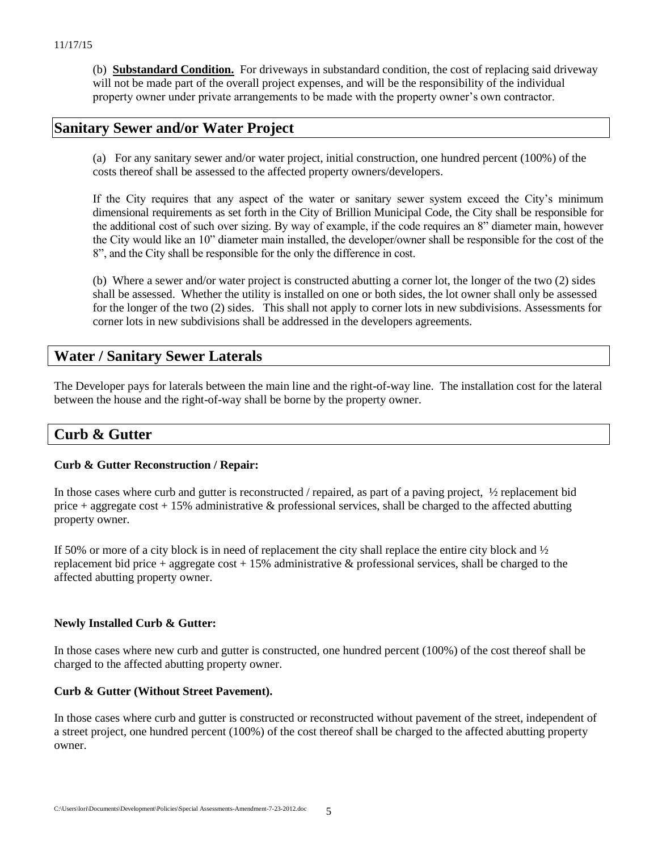(b) **Substandard Condition.** For driveways in substandard condition, the cost of replacing said driveway will not be made part of the overall project expenses, and will be the responsibility of the individual property owner under private arrangements to be made with the property owner's own contractor.

## **Sanitary Sewer and/or Water Project**

(a) For any sanitary sewer and/or water project, initial construction, one hundred percent (100%) of the costs thereof shall be assessed to the affected property owners/developers.

If the City requires that any aspect of the water or sanitary sewer system exceed the City's minimum dimensional requirements as set forth in the City of Brillion Municipal Code, the City shall be responsible for the additional cost of such over sizing. By way of example, if the code requires an 8" diameter main, however the City would like an 10" diameter main installed, the developer/owner shall be responsible for the cost of the 8", and the City shall be responsible for the only the difference in cost.

(b) Where a sewer and/or water project is constructed abutting a corner lot, the longer of the two (2) sides shall be assessed. Whether the utility is installed on one or both sides, the lot owner shall only be assessed for the longer of the two (2) sides. This shall not apply to corner lots in new subdivisions. Assessments for corner lots in new subdivisions shall be addressed in the developers agreements.

# **Water / Sanitary Sewer Laterals**

The Developer pays for laterals between the main line and the right-of-way line. The installation cost for the lateral between the house and the right-of-way shall be borne by the property owner.

# **Curb & Gutter**

## **Curb & Gutter Reconstruction / Repair:**

In those cases where curb and gutter is reconstructed / repaired, as part of a paving project,  $\frac{1}{2}$  replacement bid price + aggregate cost + 15% administrative  $\&$  professional services, shall be charged to the affected abutting property owner.

If 50% or more of a city block is in need of replacement the city shall replace the entire city block and  $\frac{1}{2}$ replacement bid price + aggregate cost + 15% administrative & professional services, shall be charged to the affected abutting property owner.

## **Newly Installed Curb & Gutter:**

In those cases where new curb and gutter is constructed, one hundred percent (100%) of the cost thereof shall be charged to the affected abutting property owner.

## **Curb & Gutter (Without Street Pavement).**

In those cases where curb and gutter is constructed or reconstructed without pavement of the street, independent of a street project, one hundred percent (100%) of the cost thereof shall be charged to the affected abutting property owner.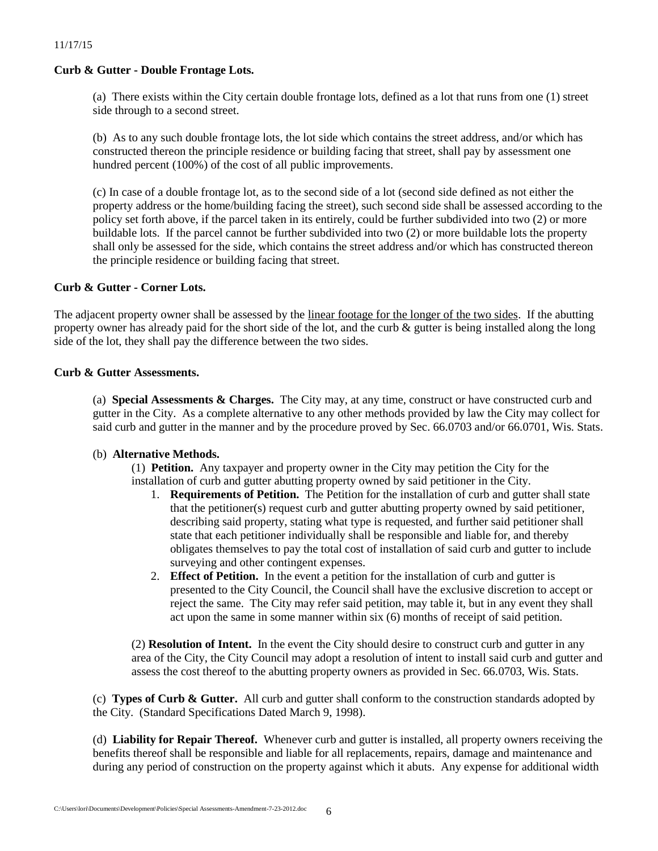## **Curb & Gutter - Double Frontage Lots.**

(a) There exists within the City certain double frontage lots, defined as a lot that runs from one (1) street side through to a second street.

(b) As to any such double frontage lots, the lot side which contains the street address, and/or which has constructed thereon the principle residence or building facing that street, shall pay by assessment one hundred percent (100%) of the cost of all public improvements.

(c) In case of a double frontage lot, as to the second side of a lot (second side defined as not either the property address or the home/building facing the street), such second side shall be assessed according to the policy set forth above, if the parcel taken in its entirely, could be further subdivided into two (2) or more buildable lots. If the parcel cannot be further subdivided into two (2) or more buildable lots the property shall only be assessed for the side, which contains the street address and/or which has constructed thereon the principle residence or building facing that street.

## **Curb & Gutter - Corner Lots.**

The adjacent property owner shall be assessed by the linear footage for the longer of the two sides. If the abutting property owner has already paid for the short side of the lot, and the curb  $\&$  gutter is being installed along the long side of the lot, they shall pay the difference between the two sides.

## **Curb & Gutter Assessments.**

(a) **Special Assessments & Charges.** The City may, at any time, construct or have constructed curb and gutter in the City. As a complete alternative to any other methods provided by law the City may collect for said curb and gutter in the manner and by the procedure proved by Sec. 66.0703 and/or 66.0701, Wis. Stats.

## (b) **Alternative Methods.**

(1) **Petition.** Any taxpayer and property owner in the City may petition the City for the installation of curb and gutter abutting property owned by said petitioner in the City.

- 1. **Requirements of Petition.** The Petition for the installation of curb and gutter shall state that the petitioner(s) request curb and gutter abutting property owned by said petitioner, describing said property, stating what type is requested, and further said petitioner shall state that each petitioner individually shall be responsible and liable for, and thereby obligates themselves to pay the total cost of installation of said curb and gutter to include surveying and other contingent expenses.
- 2. **Effect of Petition.** In the event a petition for the installation of curb and gutter is presented to the City Council, the Council shall have the exclusive discretion to accept or reject the same. The City may refer said petition, may table it, but in any event they shall act upon the same in some manner within six (6) months of receipt of said petition.

(2) **Resolution of Intent.** In the event the City should desire to construct curb and gutter in any area of the City, the City Council may adopt a resolution of intent to install said curb and gutter and assess the cost thereof to the abutting property owners as provided in Sec. 66.0703, Wis. Stats.

(c) **Types of Curb & Gutter.** All curb and gutter shall conform to the construction standards adopted by the City. (Standard Specifications Dated March 9, 1998).

(d) **Liability for Repair Thereof.** Whenever curb and gutter is installed, all property owners receiving the benefits thereof shall be responsible and liable for all replacements, repairs, damage and maintenance and during any period of construction on the property against which it abuts. Any expense for additional width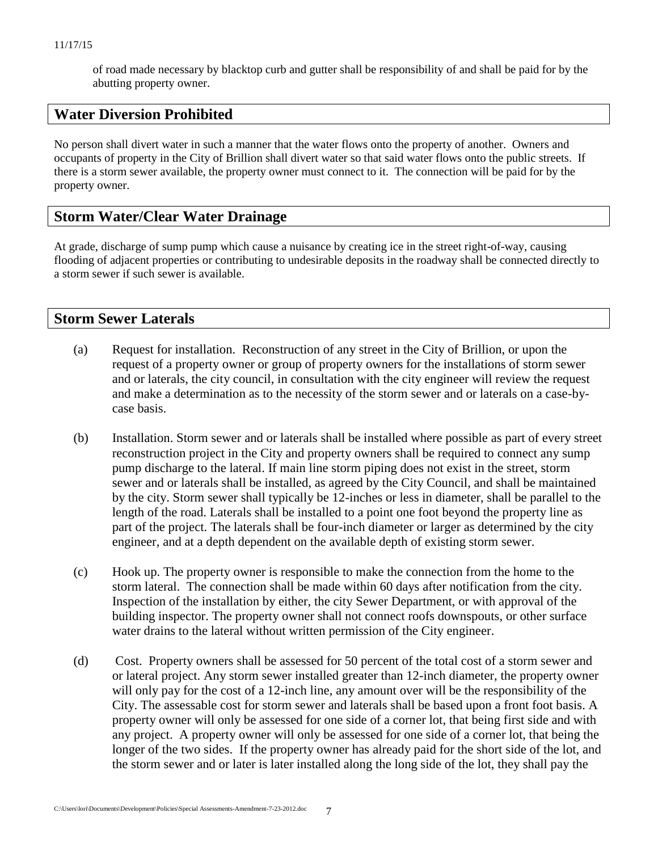of road made necessary by blacktop curb and gutter shall be responsibility of and shall be paid for by the abutting property owner.

# **Water Diversion Prohibited**

No person shall divert water in such a manner that the water flows onto the property of another. Owners and occupants of property in the City of Brillion shall divert water so that said water flows onto the public streets. If there is a storm sewer available, the property owner must connect to it. The connection will be paid for by the property owner.

# **Storm Water/Clear Water Drainage**

At grade, discharge of sump pump which cause a nuisance by creating ice in the street right-of-way, causing flooding of adjacent properties or contributing to undesirable deposits in the roadway shall be connected directly to a storm sewer if such sewer is available.

# **Storm Sewer Laterals**

- (a) Request for installation. Reconstruction of any street in the City of Brillion, or upon the request of a property owner or group of property owners for the installations of storm sewer and or laterals, the city council, in consultation with the city engineer will review the request and make a determination as to the necessity of the storm sewer and or laterals on a case-bycase basis.
- (b) Installation. Storm sewer and or laterals shall be installed where possible as part of every street reconstruction project in the City and property owners shall be required to connect any sump pump discharge to the lateral. If main line storm piping does not exist in the street, storm sewer and or laterals shall be installed, as agreed by the City Council, and shall be maintained by the city. Storm sewer shall typically be 12-inches or less in diameter, shall be parallel to the length of the road. Laterals shall be installed to a point one foot beyond the property line as part of the project. The laterals shall be four-inch diameter or larger as determined by the city engineer, and at a depth dependent on the available depth of existing storm sewer.
- (c) Hook up. The property owner is responsible to make the connection from the home to the storm lateral. The connection shall be made within 60 days after notification from the city. Inspection of the installation by either, the city Sewer Department, or with approval of the building inspector. The property owner shall not connect roofs downspouts, or other surface water drains to the lateral without written permission of the City engineer.
- (d) Cost. Property owners shall be assessed for 50 percent of the total cost of a storm sewer and or lateral project. Any storm sewer installed greater than 12-inch diameter, the property owner will only pay for the cost of a 12-inch line, any amount over will be the responsibility of the City. The assessable cost for storm sewer and laterals shall be based upon a front foot basis. A property owner will only be assessed for one side of a corner lot, that being first side and with any project. A property owner will only be assessed for one side of a corner lot, that being the longer of the two sides. If the property owner has already paid for the short side of the lot, and the storm sewer and or later is later installed along the long side of the lot, they shall pay the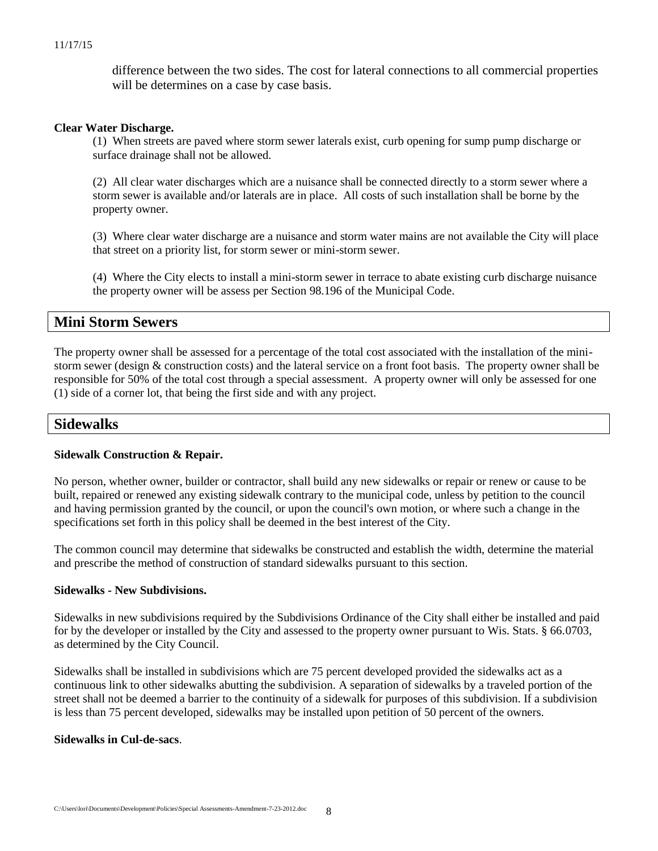difference between the two sides. The cost for lateral connections to all commercial properties will be determines on a case by case basis.

#### **Clear Water Discharge.**

(1) When streets are paved where storm sewer laterals exist, curb opening for sump pump discharge or surface drainage shall not be allowed.

(2) All clear water discharges which are a nuisance shall be connected directly to a storm sewer where a storm sewer is available and/or laterals are in place. All costs of such installation shall be borne by the property owner.

(3) Where clear water discharge are a nuisance and storm water mains are not available the City will place that street on a priority list, for storm sewer or mini-storm sewer.

(4) Where the City elects to install a mini-storm sewer in terrace to abate existing curb discharge nuisance the property owner will be assess per Section 98.196 of the Municipal Code.

## **Mini Storm Sewers**

The property owner shall be assessed for a percentage of the total cost associated with the installation of the ministorm sewer (design & construction costs) and the lateral service on a front foot basis. The property owner shall be responsible for 50% of the total cost through a special assessment. A property owner will only be assessed for one (1) side of a corner lot, that being the first side and with any project.

## **Sidewalks**

## **Sidewalk Construction & Repair.**

No person, whether owner, builder or contractor, shall build any new sidewalks or repair or renew or cause to be built, repaired or renewed any existing sidewalk contrary to the municipal code, unless by petition to the council and having permission granted by the council, or upon the council's own motion, or where such a change in the specifications set forth in this policy shall be deemed in the best interest of the City.

The common council may determine that sidewalks be constructed and establish the width, determine the material and prescribe the method of construction of standard sidewalks pursuant to this section.

#### **Sidewalks - New Subdivisions.**

Sidewalks in new subdivisions required by the Subdivisions Ordinance of the City shall either be installed and paid for by the developer or installed by the City and assessed to the property owner pursuant to Wis. Stats. § 66.0703, as determined by the City Council.

Sidewalks shall be installed in subdivisions which are 75 percent developed provided the sidewalks act as a continuous link to other sidewalks abutting the subdivision. A separation of sidewalks by a traveled portion of the street shall not be deemed a barrier to the continuity of a sidewalk for purposes of this subdivision. If a subdivision is less than 75 percent developed, sidewalks may be installed upon petition of 50 percent of the owners.

#### **Sidewalks in Cul-de-sacs**.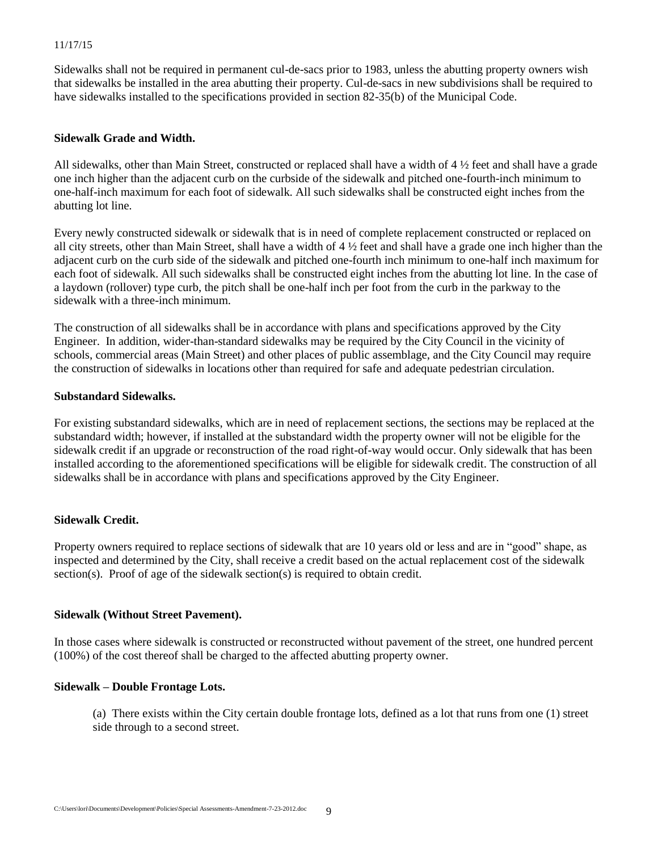Sidewalks shall not be required in permanent cul-de-sacs prior to 1983, unless the abutting property owners wish that sidewalks be installed in the area abutting their property. Cul-de-sacs in new subdivisions shall be required to have sidewalks installed to the specifications provided in section 82-35(b) of the Municipal Code.

#### **Sidewalk Grade and Width.**

All sidewalks, other than Main Street, constructed or replaced shall have a width of  $4\frac{1}{2}$  feet and shall have a grade one inch higher than the adjacent curb on the curbside of the sidewalk and pitched one-fourth-inch minimum to one-half-inch maximum for each foot of sidewalk. All such sidewalks shall be constructed eight inches from the abutting lot line.

Every newly constructed sidewalk or sidewalk that is in need of complete replacement constructed or replaced on all city streets, other than Main Street, shall have a width of  $4\frac{1}{2}$  feet and shall have a grade one inch higher than the adjacent curb on the curb side of the sidewalk and pitched one-fourth inch minimum to one-half inch maximum for each foot of sidewalk. All such sidewalks shall be constructed eight inches from the abutting lot line. In the case of a laydown (rollover) type curb, the pitch shall be one-half inch per foot from the curb in the parkway to the sidewalk with a three-inch minimum.

The construction of all sidewalks shall be in accordance with plans and specifications approved by the City Engineer. In addition, wider-than-standard sidewalks may be required by the City Council in the vicinity of schools, commercial areas (Main Street) and other places of public assemblage, and the City Council may require the construction of sidewalks in locations other than required for safe and adequate pedestrian circulation.

#### **Substandard Sidewalks.**

For existing substandard sidewalks, which are in need of replacement sections, the sections may be replaced at the substandard width; however, if installed at the substandard width the property owner will not be eligible for the sidewalk credit if an upgrade or reconstruction of the road right-of-way would occur. Only sidewalk that has been installed according to the aforementioned specifications will be eligible for sidewalk credit. The construction of all sidewalks shall be in accordance with plans and specifications approved by the City Engineer.

## **Sidewalk Credit.**

Property owners required to replace sections of sidewalk that are 10 years old or less and are in "good" shape, as inspected and determined by the City, shall receive a credit based on the actual replacement cost of the sidewalk section(s). Proof of age of the sidewalk section(s) is required to obtain credit.

## **Sidewalk (Without Street Pavement).**

In those cases where sidewalk is constructed or reconstructed without pavement of the street, one hundred percent (100%) of the cost thereof shall be charged to the affected abutting property owner.

#### **Sidewalk – Double Frontage Lots.**

(a) There exists within the City certain double frontage lots, defined as a lot that runs from one (1) street side through to a second street.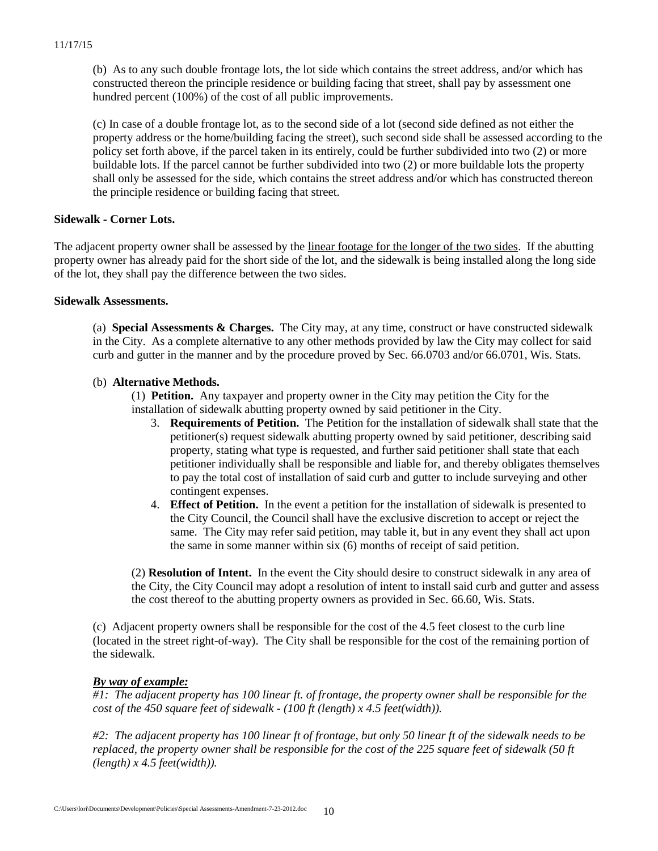(b) As to any such double frontage lots, the lot side which contains the street address, and/or which has constructed thereon the principle residence or building facing that street, shall pay by assessment one hundred percent (100%) of the cost of all public improvements.

(c) In case of a double frontage lot, as to the second side of a lot (second side defined as not either the property address or the home/building facing the street), such second side shall be assessed according to the policy set forth above, if the parcel taken in its entirely, could be further subdivided into two (2) or more buildable lots. If the parcel cannot be further subdivided into two (2) or more buildable lots the property shall only be assessed for the side, which contains the street address and/or which has constructed thereon the principle residence or building facing that street.

## **Sidewalk - Corner Lots.**

The adjacent property owner shall be assessed by the linear footage for the longer of the two sides. If the abutting property owner has already paid for the short side of the lot, and the sidewalk is being installed along the long side of the lot, they shall pay the difference between the two sides.

## **Sidewalk Assessments.**

(a) **Special Assessments & Charges.** The City may, at any time, construct or have constructed sidewalk in the City. As a complete alternative to any other methods provided by law the City may collect for said curb and gutter in the manner and by the procedure proved by Sec. 66.0703 and/or 66.0701, Wis. Stats.

## (b) **Alternative Methods.**

(1) **Petition.** Any taxpayer and property owner in the City may petition the City for the installation of sidewalk abutting property owned by said petitioner in the City.

- 3. **Requirements of Petition.** The Petition for the installation of sidewalk shall state that the petitioner(s) request sidewalk abutting property owned by said petitioner, describing said property, stating what type is requested, and further said petitioner shall state that each petitioner individually shall be responsible and liable for, and thereby obligates themselves to pay the total cost of installation of said curb and gutter to include surveying and other contingent expenses.
- 4. **Effect of Petition.** In the event a petition for the installation of sidewalk is presented to the City Council, the Council shall have the exclusive discretion to accept or reject the same. The City may refer said petition, may table it, but in any event they shall act upon the same in some manner within six (6) months of receipt of said petition.

(2) **Resolution of Intent.** In the event the City should desire to construct sidewalk in any area of the City, the City Council may adopt a resolution of intent to install said curb and gutter and assess the cost thereof to the abutting property owners as provided in Sec. 66.60, Wis. Stats.

(c) Adjacent property owners shall be responsible for the cost of the 4.5 feet closest to the curb line (located in the street right-of-way). The City shall be responsible for the cost of the remaining portion of the sidewalk.

## *By way of example:*

*#1: The adjacent property has 100 linear ft. of frontage, the property owner shall be responsible for the cost of the 450 square feet of sidewalk - (100 ft (length) x 4.5 feet(width)).*

*#2: The adjacent property has 100 linear ft of frontage, but only 50 linear ft of the sidewalk needs to be replaced, the property owner shall be responsible for the cost of the 225 square feet of sidewalk (50 ft (length) x 4.5 feet(width)).*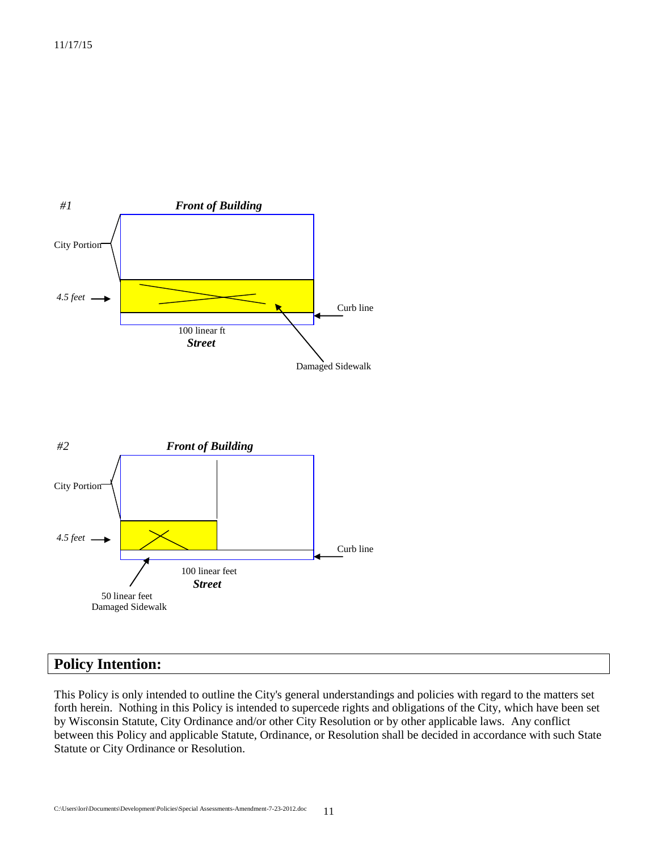



# **Policy Intention:**

This Policy is only intended to outline the City's general understandings and policies with regard to the matters set forth herein. Nothing in this Policy is intended to supercede rights and obligations of the City, which have been set by Wisconsin Statute, City Ordinance and/or other City Resolution or by other applicable laws. Any conflict between this Policy and applicable Statute, Ordinance, or Resolution shall be decided in accordance with such State Statute or City Ordinance or Resolution.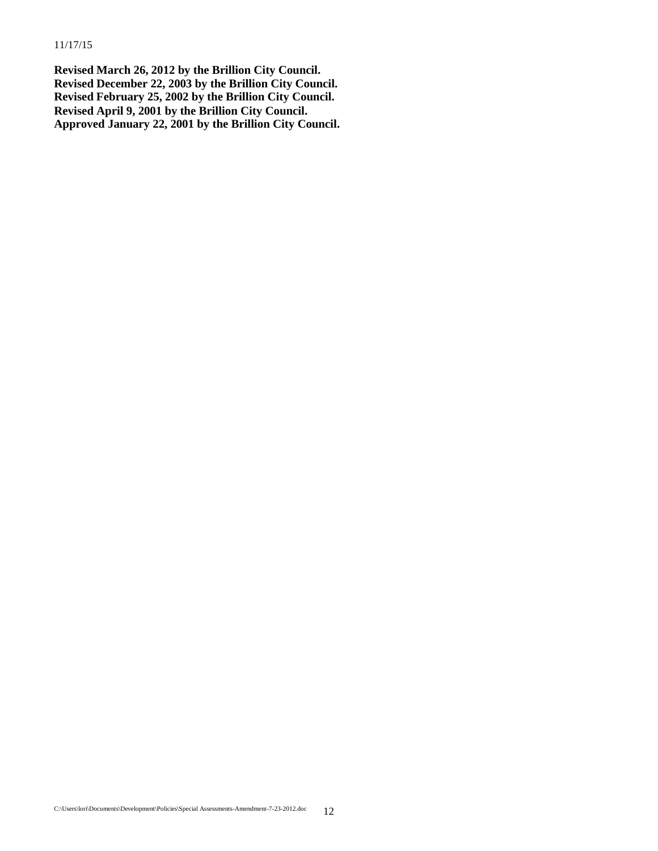**Revised March 26, 2012 by the Brillion City Council. Revised December 22, 2003 by the Brillion City Council. Revised February 25, 2002 by the Brillion City Council. Revised April 9, 2001 by the Brillion City Council. Approved January 22, 2001 by the Brillion City Council.**